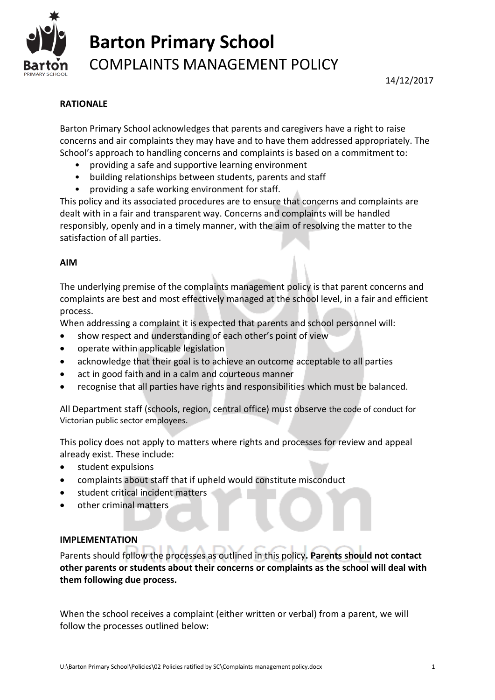

### **RATIONALE**

Barton Primary School acknowledges that parents and caregivers have a right to raise concerns and air complaints they may have and to have them addressed appropriately. The School's approach to handling concerns and complaints is based on a commitment to:

- providing a safe and supportive learning environment
- building relationships between students, parents and staff
- providing a safe working environment for staff.

This policy and its associated procedures are to ensure that concerns and complaints are dealt with in a fair and transparent way. Concerns and complaints will be handled responsibly, openly and in a timely manner, with the aim of resolving the matter to the satisfaction of all parties.

#### **AIM**

The underlying premise of the complaints management policy is that parent concerns and complaints are best and most effectively managed at the school level, in a fair and efficient process.

When addressing a complaint it is expected that parents and school personnel will:

- show respect and understanding of each other's point of view
- operate within applicable legislation
- acknowledge that their goal is to achieve an outcome acceptable to all parties
- act in good faith and in a calm and courteous manner
- recognise that all parties have rights and responsibilities which must be balanced.

All Department staff (schools, region, central office) must observe the code of conduct for Victorian public sector employees.

This policy does not apply to matters where rights and processes for review and appeal already exist. These include:

- student expulsions
- complaints about staff that if upheld would constitute misconduct
- student critical incident matters
- other criminal matters

#### **IMPLEMENTATION**

Parents should follow the processes as outlined in this policy**. Parents should not contact other parents or students about their concerns or complaints as the school will deal with them following due process.** 

When the school receives a complaint (either written or verbal) from a parent, we will follow the processes outlined below: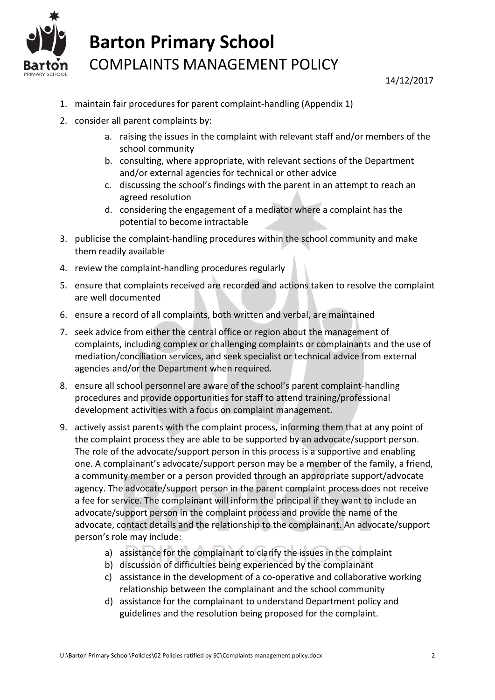

- 1. maintain fair procedures for parent complaint-handling (Appendix 1)
- 2. consider all parent complaints by:
	- a. raising the issues in the complaint with relevant staff and/or members of the school community
	- b. consulting, where appropriate, with relevant sections of the Department and/or external agencies for technical or other advice
	- c. discussing the school's findings with the parent in an attempt to reach an agreed resolution
	- d. considering the engagement of a mediator where a complaint has the potential to become intractable
- 3. publicise the complaint-handling procedures within the school community and make them readily available
- 4. review the complaint-handling procedures regularly
- 5. ensure that complaints received are recorded and actions taken to resolve the complaint are well documented
- 6. ensure a record of all complaints, both written and verbal, are maintained
- 7. seek advice from either the central office or region about the management of complaints, including complex or challenging complaints or complainants and the use of mediation/conciliation services, and seek specialist or technical advice from external agencies and/or the Department when required.
- 8. ensure all school personnel are aware of the school's parent complaint-handling procedures and provide opportunities for staff to attend training/professional development activities with a focus on complaint management.
- 9. actively assist parents with the complaint process, informing them that at any point of the complaint process they are able to be supported by an advocate/support person. The role of the advocate/support person in this process is a supportive and enabling one. A complainant's advocate/support person may be a member of the family, a friend, a community member or a person provided through an appropriate support/advocate agency. The advocate/support person in the parent complaint process does not receive a fee for service. The complainant will inform the principal if they want to include an advocate/support person in the complaint process and provide the name of the advocate, contact details and the relationship to the complainant. An advocate/support person's role may include:
	- a) assistance for the complainant to clarify the issues in the complaint
	- b) discussion of difficulties being experienced by the complainant
	- c) assistance in the development of a co-operative and collaborative working relationship between the complainant and the school community
	- d) assistance for the complainant to understand Department policy and guidelines and the resolution being proposed for the complaint.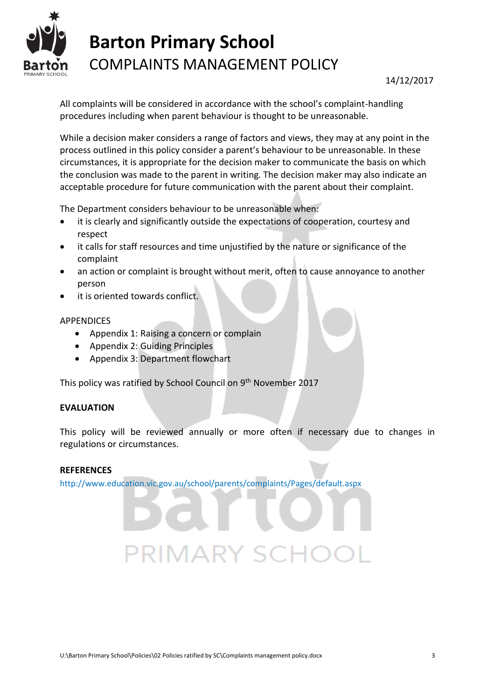

All complaints will be considered in accordance with the school's complaint-handling procedures including when parent behaviour is thought to be unreasonable.

While a decision maker considers a range of factors and views, they may at any point in the process outlined in this policy consider a parent's behaviour to be unreasonable. In these circumstances, it is appropriate for the decision maker to communicate the basis on which the conclusion was made to the parent in writing. The decision maker may also indicate an acceptable procedure for future communication with the parent about their complaint.

The Department considers behaviour to be unreasonable when:

- it is clearly and significantly outside the expectations of cooperation, courtesy and respect
- it calls for staff resources and time unjustified by the nature or significance of the complaint
- an action or complaint is brought without merit, often to cause annoyance to another person
- it is oriented towards conflict.

#### APPENDICES

- Appendix 1: Raising a concern or complain
- Appendix 2: Guiding Principles
- Appendix 3: Department flowchart

This policy was ratified by School Council on 9<sup>th</sup> November 2017

#### **EVALUATION**

This policy will be reviewed annually or more often if necessary due to changes in regulations or circumstances.

#### **REFERENCES**

<http://www.education.vic.gov.au/school/parents/complaints/Pages/default.aspx>

**PRIMARY SC**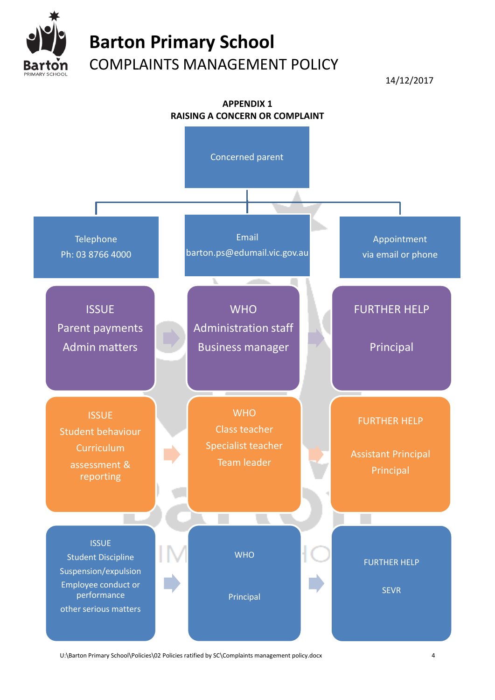

14/12/2017



U:\Barton Primary School\Policies\02 Policies ratified by SC\Complaints management policy.docx 4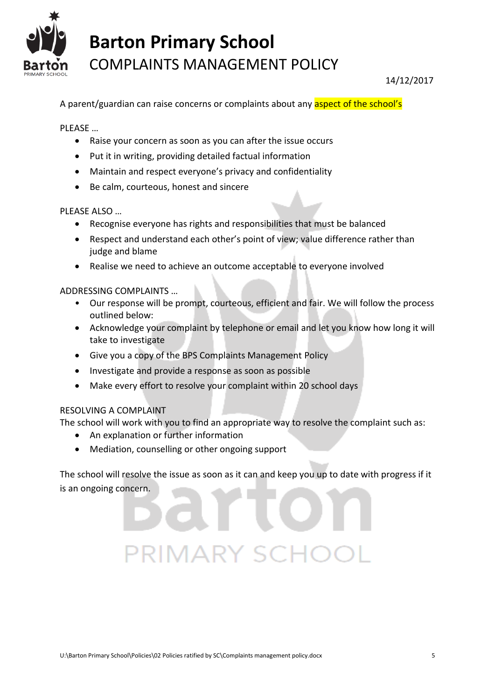

A parent/guardian can raise concerns or complaints about any aspect of the school's

PLEASE …

- Raise your concern as soon as you can after the issue occurs
- Put it in writing, providing detailed factual information
- Maintain and respect everyone's privacy and confidentiality
- Be calm, courteous, honest and sincere

PLEASE ALSO …

- Recognise everyone has rights and responsibilities that must be balanced
- Respect and understand each other's point of view; value difference rather than judge and blame
- Realise we need to achieve an outcome acceptable to everyone involved

ADDRESSING COMPLAINTS …

- Our response will be prompt, courteous, efficient and fair. We will follow the process outlined below:
- Acknowledge your complaint by telephone or email and let you know how long it will take to investigate
- Give you a copy of the BPS Complaints Management Policy
- Investigate and provide a response as soon as possible
- Make every effort to resolve your complaint within 20 school days

#### RESOLVING A COMPLAINT

The school will work with you to find an appropriate way to resolve the complaint such as:

- An explanation or further information
- Mediation, counselling or other ongoing support

The school will resolve the issue as soon as it can and keep you up to date with progress if it is an ongoing concern.

### U:\Barton Primary School\Policies\02 Policies ratified by SC\Complaints management policy.docx 5

PRIMARY SCI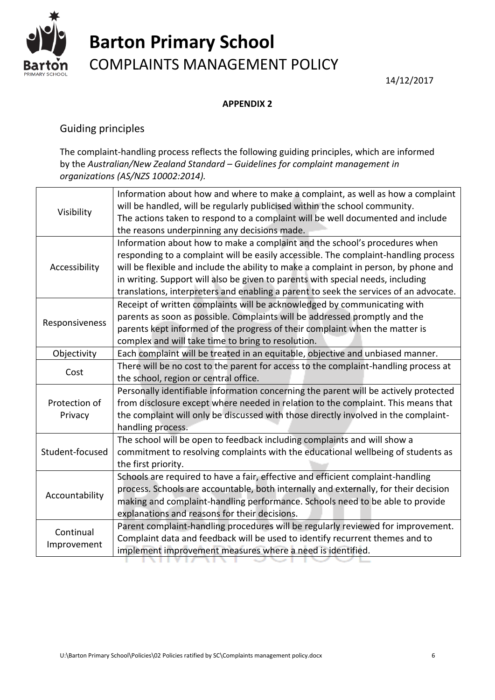

14/12/2017

### **APPENDIX 2**

### Guiding principles

The complaint-handling process reflects the following [guiding principles,](file:///D:/Users/01136025/Documents/Guiding%20Principles.docx%23guiding%2520principles) which are informed by the *Australian/New Zealand Standard – Guidelines for complaint management in organizations (AS/NZS 10002:2014).*

| Visibility               | Information about how and where to make a complaint, as well as how a complaint<br>will be handled, will be regularly publicised within the school community.<br>The actions taken to respond to a complaint will be well documented and include<br>the reasons underpinning any decisions made.                                                                                                                                      |
|--------------------------|---------------------------------------------------------------------------------------------------------------------------------------------------------------------------------------------------------------------------------------------------------------------------------------------------------------------------------------------------------------------------------------------------------------------------------------|
| Accessibility            | Information about how to make a complaint and the school's procedures when<br>responding to a complaint will be easily accessible. The complaint-handling process<br>will be flexible and include the ability to make a complaint in person, by phone and<br>in writing. Support will also be given to parents with special needs, including<br>translations, interpreters and enabling a parent to seek the services of an advocate. |
| Responsiveness           | Receipt of written complaints will be acknowledged by communicating with<br>parents as soon as possible. Complaints will be addressed promptly and the<br>parents kept informed of the progress of their complaint when the matter is<br>complex and will take time to bring to resolution.                                                                                                                                           |
| Objectivity              | Each complaint will be treated in an equitable, objective and unbiased manner.                                                                                                                                                                                                                                                                                                                                                        |
| Cost                     | There will be no cost to the parent for access to the complaint-handling process at<br>the school, region or central office.                                                                                                                                                                                                                                                                                                          |
| Protection of<br>Privacy | Personally identifiable information concerning the parent will be actively protected<br>from disclosure except where needed in relation to the complaint. This means that<br>the complaint will only be discussed with those directly involved in the complaint-<br>handling process.                                                                                                                                                 |
| Student-focused          | The school will be open to feedback including complaints and will show a<br>commitment to resolving complaints with the educational wellbeing of students as<br>the first priority.                                                                                                                                                                                                                                                   |
| Accountability           | Schools are required to have a fair, effective and efficient complaint-handling<br>process. Schools are accountable, both internally and externally, for their decision<br>making and complaint-handling performance. Schools need to be able to provide<br>explanations and reasons for their decisions.                                                                                                                             |
| Continual<br>Improvement | Parent complaint-handling procedures will be regularly reviewed for improvement.<br>Complaint data and feedback will be used to identify recurrent themes and to<br>implement improvement measures where a need is identified.                                                                                                                                                                                                        |